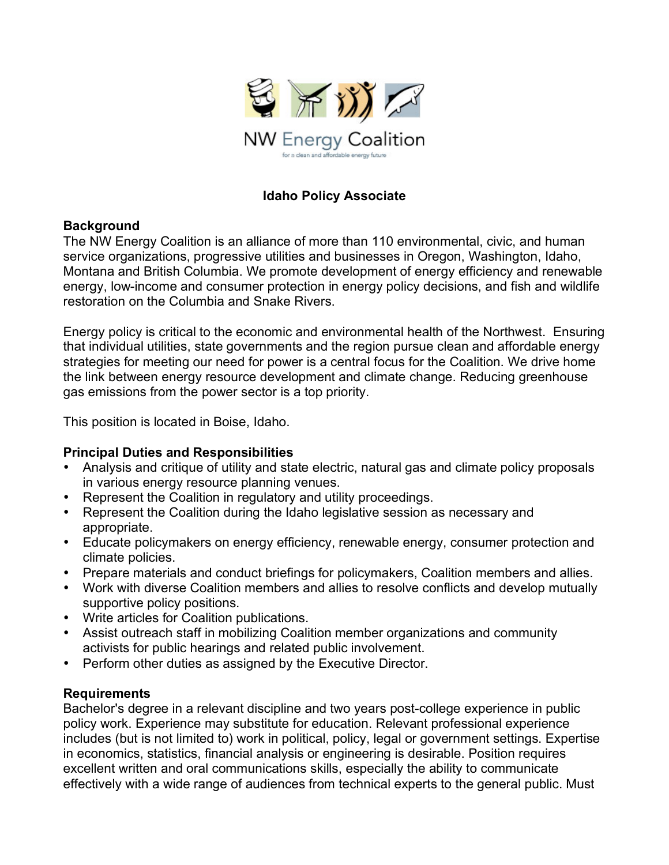

## **Idaho Policy Associate**

## **Background**

The NW Energy Coalition is an alliance of more than 110 environmental, civic, and human service organizations, progressive utilities and businesses in Oregon, Washington, Idaho, Montana and British Columbia. We promote development of energy efficiency and renewable energy, low-income and consumer protection in energy policy decisions, and fish and wildlife restoration on the Columbia and Snake Rivers.

Energy policy is critical to the economic and environmental health of the Northwest. Ensuring that individual utilities, state governments and the region pursue clean and affordable energy strategies for meeting our need for power is a central focus for the Coalition. We drive home the link between energy resource development and climate change. Reducing greenhouse gas emissions from the power sector is a top priority.

This position is located in Boise, Idaho.

## **Principal Duties and Responsibilities**

- Analysis and critique of utility and state electric, natural gas and climate policy proposals in various energy resource planning venues.
- Represent the Coalition in regulatory and utility proceedings.
- Represent the Coalition during the Idaho legislative session as necessary and appropriate.
- Educate policymakers on energy efficiency, renewable energy, consumer protection and climate policies.
- Prepare materials and conduct briefings for policymakers, Coalition members and allies.
- Work with diverse Coalition members and allies to resolve conflicts and develop mutually supportive policy positions.
- Write articles for Coalition publications.
- Assist outreach staff in mobilizing Coalition member organizations and community activists for public hearings and related public involvement.
- Perform other duties as assigned by the Executive Director.

## **Requirements**

Bachelor's degree in a relevant discipline and two years post-college experience in public policy work. Experience may substitute for education. Relevant professional experience includes (but is not limited to) work in political, policy, legal or government settings. Expertise in economics, statistics, financial analysis or engineering is desirable. Position requires excellent written and oral communications skills, especially the ability to communicate effectively with a wide range of audiences from technical experts to the general public. Must